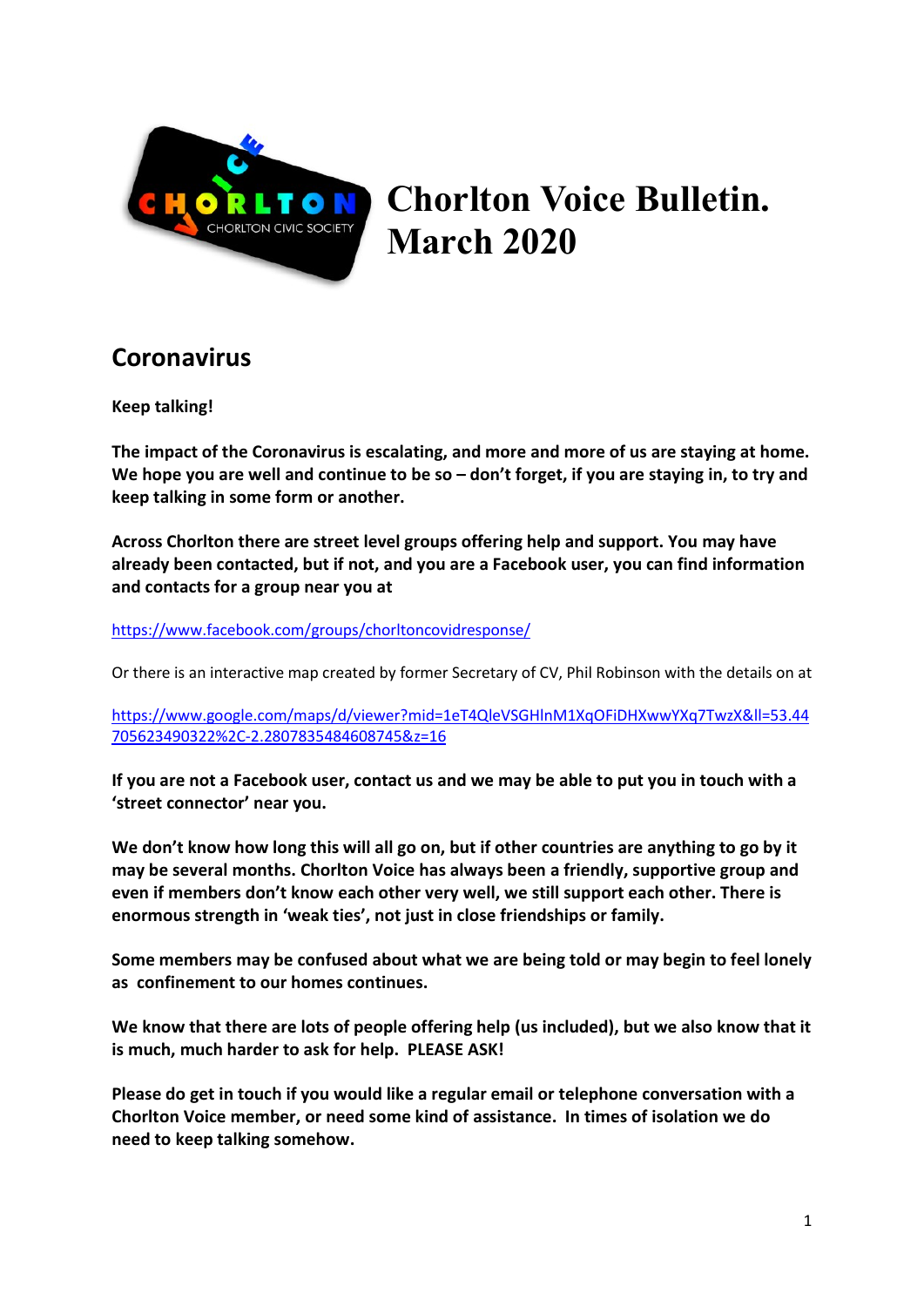

# Chorlton Voice Bulletin. March 2020

# **Coronavirus**

Keep talking!

The impact of the Coronavirus is escalating, and more and more of us are staying at home. We hope you are well and continue to be so – don't forget, if you are staying in, to try and keep talking in some form or another.

Across Chorlton there are street level groups offering help and support. You may have already been contacted, but if not, and you are a Facebook user, you can find information and contacts for a group near you at

https://www.facebook.com/groups/chorltoncovidresponse/

Or there is an interactive map created by former Secretary of CV, Phil Robinson with the details on at

https://www.google.com/maps/d/viewer?mid=1eT4QleVSGHlnM1XqOFiDHXwwYXq7TwzX&ll=53.44 705623490322%2C-2.2807835484608745&z=16

If you are not a Facebook user, contact us and we may be able to put you in touch with a 'street connector' near you.

We don't know how long this will all go on, but if other countries are anything to go by it may be several months. Chorlton Voice has always been a friendly, supportive group and even if members don't know each other very well, we still support each other. There is enormous strength in 'weak ties', not just in close friendships or family.

Some members may be confused about what we are being told or may begin to feel lonely as confinement to our homes continues.

We know that there are lots of people offering help (us included), but we also know that it is much, much harder to ask for help. PLEASE ASK!

Please do get in touch if you would like a regular email or telephone conversation with a Chorlton Voice member, or need some kind of assistance. In times of isolation we do need to keep talking somehow.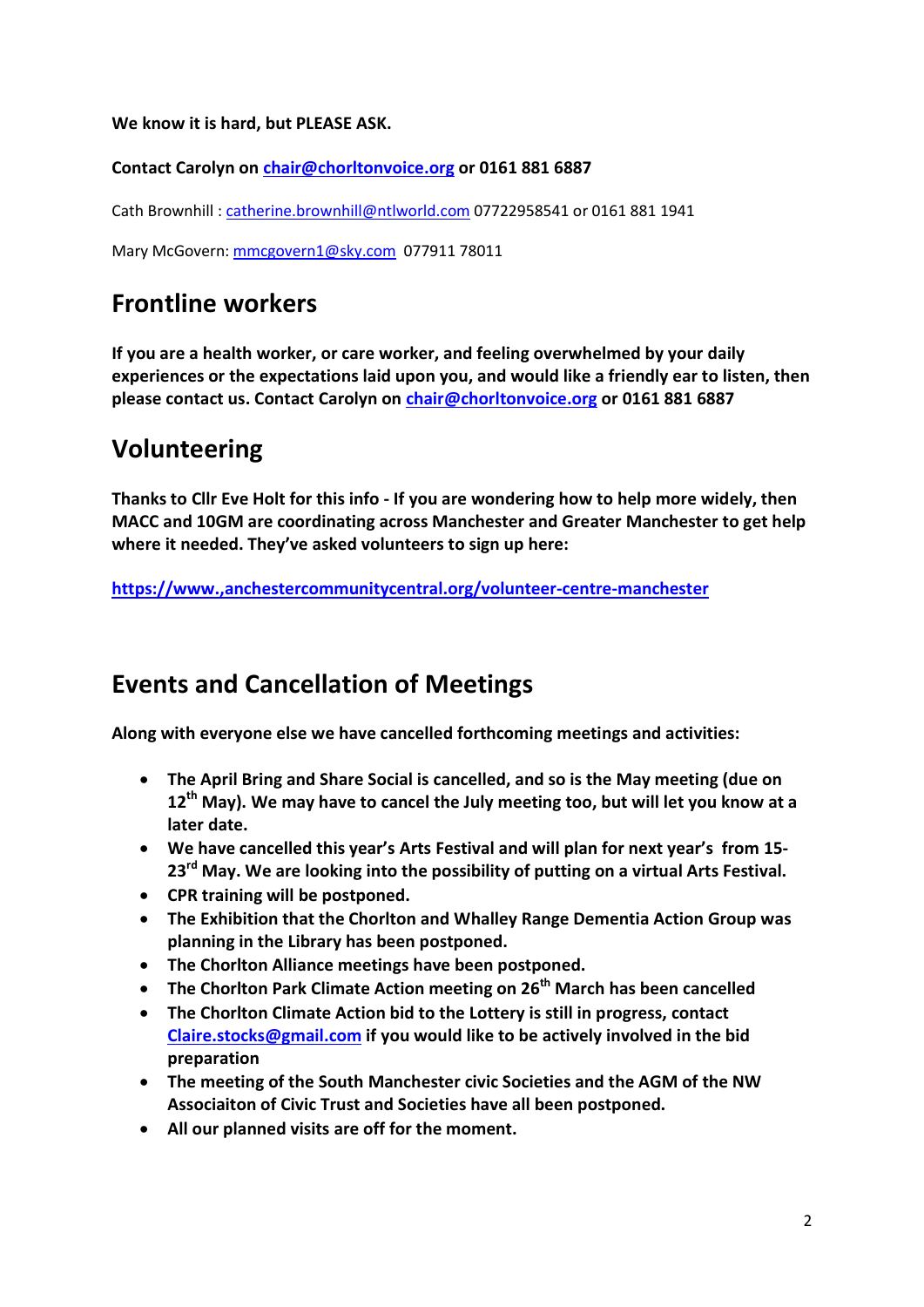We know it is hard, but PLEASE ASK.

Contact Carolyn on chair@chorltonvoice.org or 0161 881 6887

Cath Brownhill : catherine.brownhill@ntlworld.com 07722958541 or 0161 881 1941

Mary McGovern: mmcgovern1@sky.com 077911 78011

#### Frontline workers

If you are a health worker, or care worker, and feeling overwhelmed by your daily experiences or the expectations laid upon you, and would like a friendly ear to listen, then please contact us. Contact Carolyn on chair@chorltonvoice.org or 0161 881 6887

### Volunteering

Thanks to Cllr Eve Holt for this info - If you are wondering how to help more widely, then MACC and 10GM are coordinating across Manchester and Greater Manchester to get help where it needed. They've asked volunteers to sign up here:

https://www.,anchestercommunitycentral.org/volunteer-centre-manchester

#### Events and Cancellation of Meetings

Along with everyone else we have cancelled forthcoming meetings and activities:

- The April Bring and Share Social is cancelled, and so is the May meeting (due on 12<sup>th</sup> May). We may have to cancel the July meeting too, but will let you know at a later date.
- We have cancelled this year's Arts Festival and will plan for next year's from 15- 23<sup>rd</sup> May. We are looking into the possibility of putting on a virtual Arts Festival.
- CPR training will be postponed.
- The Exhibition that the Chorlton and Whalley Range Dementia Action Group was planning in the Library has been postponed.
- The Chorlton Alliance meetings have been postponed.
- The Chorlton Park Climate Action meeting on  $26<sup>th</sup>$  March has been cancelled
- The Chorlton Climate Action bid to the Lottery is still in progress, contact Claire.stocks@gmail.com if you would like to be actively involved in the bid preparation
- The meeting of the South Manchester civic Societies and the AGM of the NW Associaiton of Civic Trust and Societies have all been postponed.
- All our planned visits are off for the moment.